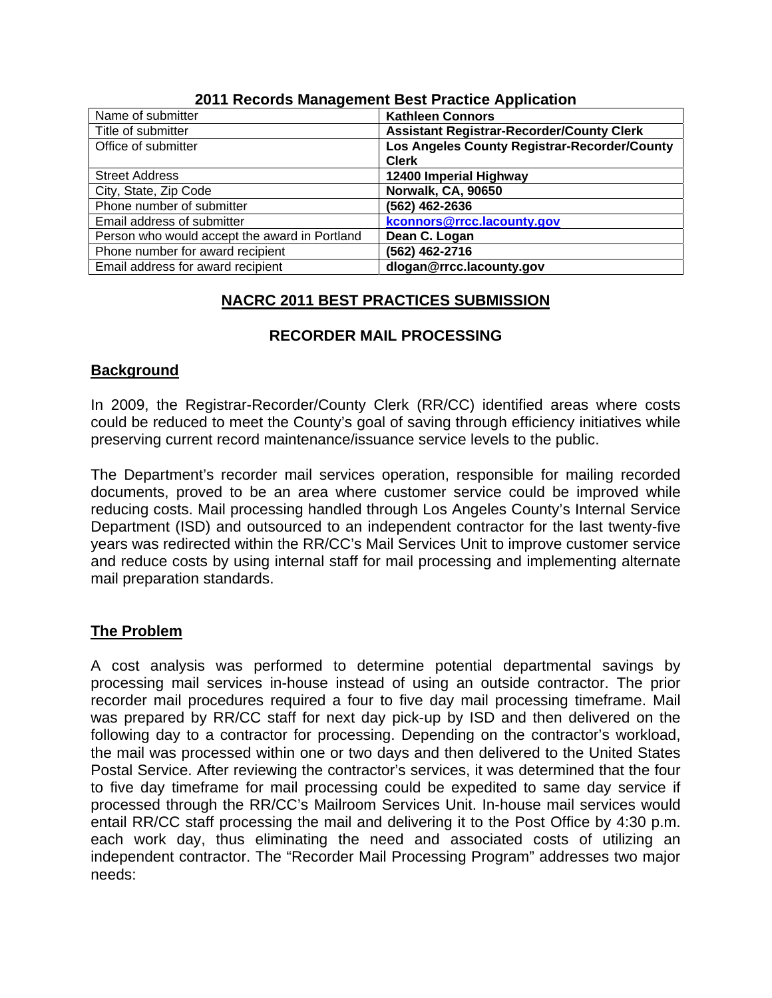| Name of submitter                             | <b>Kathleen Connors</b>                          |
|-----------------------------------------------|--------------------------------------------------|
| Title of submitter                            | <b>Assistant Registrar-Recorder/County Clerk</b> |
| Office of submitter                           | Los Angeles County Registrar-Recorder/County     |
|                                               | <b>Clerk</b>                                     |
| <b>Street Address</b>                         | 12400 Imperial Highway                           |
| City, State, Zip Code                         | Norwalk, CA, 90650                               |
| Phone number of submitter                     | (562) 462-2636                                   |
| Email address of submitter                    | kconnors@rrcc.lacounty.gov                       |
| Person who would accept the award in Portland | Dean C. Logan                                    |
| Phone number for award recipient              | (562) 462-2716                                   |
| Email address for award recipient             | dlogan@rrcc.lacounty.gov                         |

## **2011 Records Management Best Practice Application**

# **NACRC 2011 BEST PRACTICES SUBMISSION**

# **RECORDER MAIL PROCESSING**

# **Background**

In 2009, the Registrar-Recorder/County Clerk (RR/CC) identified areas where costs could be reduced to meet the County's goal of saving through efficiency initiatives while preserving current record maintenance/issuance service levels to the public.

The Department's recorder mail services operation, responsible for mailing recorded documents, proved to be an area where customer service could be improved while reducing costs. Mail processing handled through Los Angeles County's Internal Service Department (ISD) and outsourced to an independent contractor for the last twenty-five years was redirected within the RR/CC's Mail Services Unit to improve customer service and reduce costs by using internal staff for mail processing and implementing alternate mail preparation standards.

# **The Problem**

A cost analysis was performed to determine potential departmental savings by processing mail services in-house instead of using an outside contractor. The prior recorder mail procedures required a four to five day mail processing timeframe. Mail was prepared by RR/CC staff for next day pick-up by ISD and then delivered on the following day to a contractor for processing. Depending on the contractor's workload, the mail was processed within one or two days and then delivered to the United States Postal Service. After reviewing the contractor's services, it was determined that the four to five day timeframe for mail processing could be expedited to same day service if processed through the RR/CC's Mailroom Services Unit. In-house mail services would entail RR/CC staff processing the mail and delivering it to the Post Office by 4:30 p.m. each work day, thus eliminating the need and associated costs of utilizing an independent contractor. The "Recorder Mail Processing Program" addresses two major needs: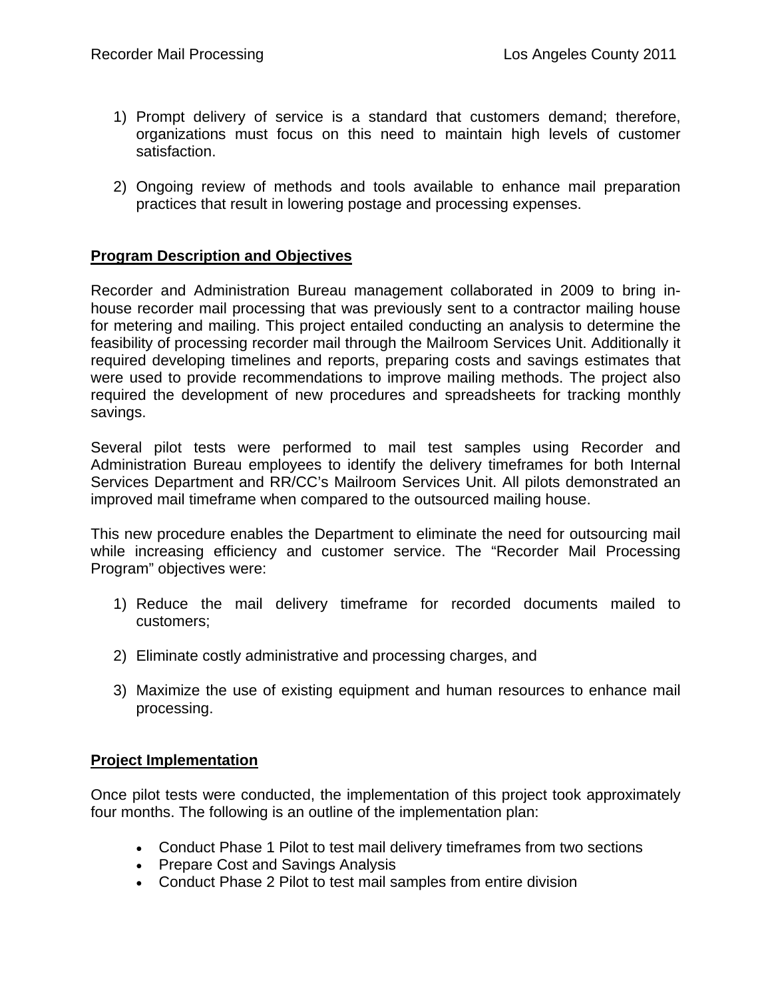- 1) Prompt delivery of service is a standard that customers demand; therefore, organizations must focus on this need to maintain high levels of customer satisfaction.
- 2) Ongoing review of methods and tools available to enhance mail preparation practices that result in lowering postage and processing expenses.

## **Program Description and Objectives**

Recorder and Administration Bureau management collaborated in 2009 to bring inhouse recorder mail processing that was previously sent to a contractor mailing house for metering and mailing. This project entailed conducting an analysis to determine the feasibility of processing recorder mail through the Mailroom Services Unit. Additionally it required developing timelines and reports, preparing costs and savings estimates that were used to provide recommendations to improve mailing methods. The project also required the development of new procedures and spreadsheets for tracking monthly savings.

Several pilot tests were performed to mail test samples using Recorder and Administration Bureau employees to identify the delivery timeframes for both Internal Services Department and RR/CC's Mailroom Services Unit. All pilots demonstrated an improved mail timeframe when compared to the outsourced mailing house.

This new procedure enables the Department to eliminate the need for outsourcing mail while increasing efficiency and customer service. The "Recorder Mail Processing Program" objectives were:

- 1) Reduce the mail delivery timeframe for recorded documents mailed to customers;
- 2) Eliminate costly administrative and processing charges, and
- 3) Maximize the use of existing equipment and human resources to enhance mail processing.

### **Project Implementation**

Once pilot tests were conducted, the implementation of this project took approximately four months. The following is an outline of the implementation plan:

- Conduct Phase 1 Pilot to test mail delivery timeframes from two sections
- Prepare Cost and Savings Analysis
- Conduct Phase 2 Pilot to test mail samples from entire division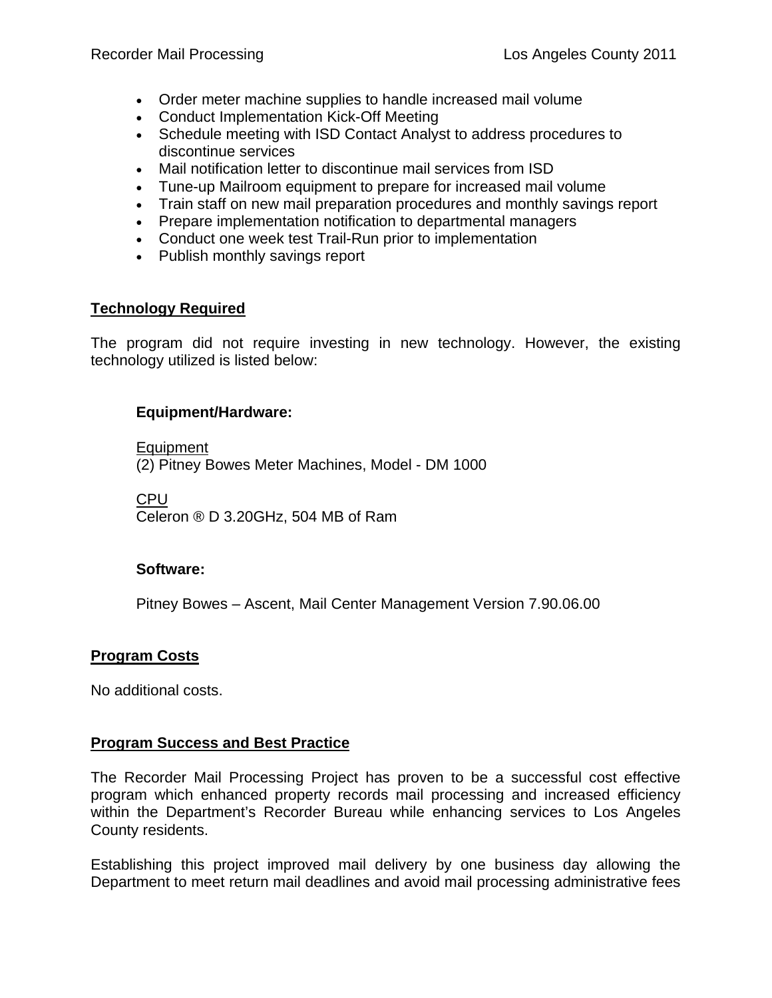- Order meter machine supplies to handle increased mail volume
- Conduct Implementation Kick-Off Meeting
- Schedule meeting with ISD Contact Analyst to address procedures to discontinue services
- Mail notification letter to discontinue mail services from ISD
- Tune-up Mailroom equipment to prepare for increased mail volume
- Train staff on new mail preparation procedures and monthly savings report
- Prepare implementation notification to departmental managers
- Conduct one week test Trail-Run prior to implementation
- Publish monthly savings report

#### **Technology Required**

The program did not require investing in new technology. However, the existing technology utilized is listed below:

#### **Equipment/Hardware:**

**Equipment** 

(2) Pitney Bowes Meter Machines, Model - DM 1000

CPU

Celeron ® D 3.20GHz, 504 MB of Ram

#### **Software:**

Pitney Bowes – Ascent, Mail Center Management Version 7.90.06.00

### **Program Costs**

No additional costs.

### **Program Success and Best Practice**

The Recorder Mail Processing Project has proven to be a successful cost effective program which enhanced property records mail processing and increased efficiency within the Department's Recorder Bureau while enhancing services to Los Angeles County residents.

Establishing this project improved mail delivery by one business day allowing the Department to meet return mail deadlines and avoid mail processing administrative fees